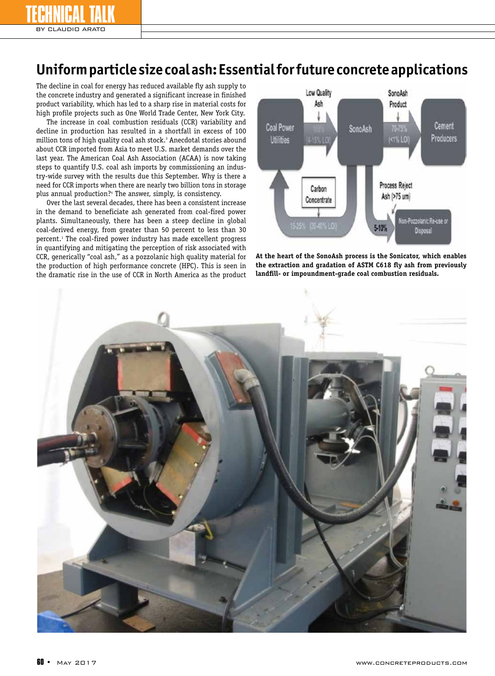## **Uniform particle size coal ash: Essential for future concrete applications**

The decline in coal for energy has reduced available fly ash supply to the concrete industry and generated a significant increase in finished product variability, which has led to a sharp rise in material costs for high profile projects such as One World Trade Center, New York City.

The increase in coal combustion residuals (CCR) variability and decline in production has resulted in a shortfall in excess of 100 million tons of high quality coal ash stock.<sup>3</sup> Anecdotal stories abound about CCR imported from Asia to meet U.S. market demands over the last year. The American Coal Ash Association (ACAA) is now taking steps to quantify U.S. coal ash imports by commissioning an industry-wide survey with the results due this September. Why is there a need for CCR imports when there are nearly two billion tons in storage plus annual production?4 The answer, simply, is consistency.

Over the last several decades, there has been a consistent increase in the demand to beneficiate ash generated from coal-fired power plants. Simultaneously, there has been a steep decline in global coal-derived energy, from greater than 50 percent to less than 30 percent.1 The coal-fired power industry has made excellent progress in quantifying and mitigating the perception of risk associated with CCR, generically "coal ash," as a pozzolanic high quality material for the production of high performance concrete (HPC). This is seen in the dramatic rise in the use of CCR in North America as the product



**At the heart of the SonoAsh process is the Sonicator, which enables the extraction and gradation of ASTM C618 fly ash from previously landfill- or impoundment-grade coal combustion residuals.**